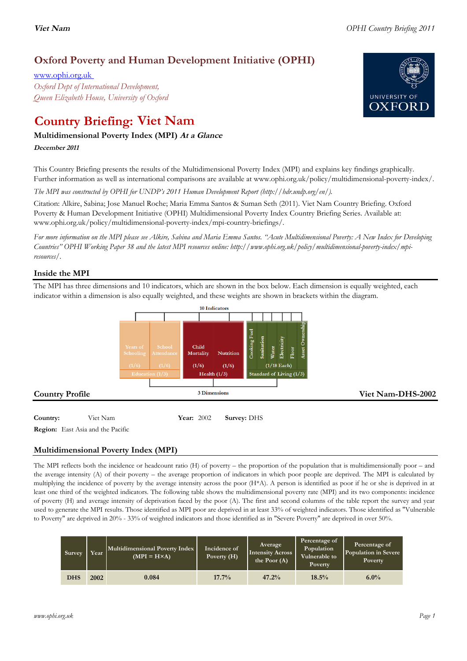# **Oxford Poverty and Human Development Initiative (OPHI)**

www.ophi.org.uk *Oxford Dept of International Development, Queen Elizabeth House, University of Oxford*

# **Country Briefing: Viet Nam**

# **Multidimensional Poverty Index (MPI) At <sup>a</sup> Glance**

**December <sup>2011</sup>**

This Country Briefing presents the results of the Multidimensional Poverty Index (MPI) and explains key findings graphically. Further information as well as international comparisons are available at www.ophi.org.uk/policy/multidimensional-poverty-index/.

*The MPI was constructed by OPHI for UNDP's 2011 Human Development Report (http://hdr.undp.org/en/).*

Citation: Alkire, Sabina; Jose Manuel Roche; Maria Emma Santos & Suman Seth (2011). Viet Nam Country Briefing. Oxford Poverty & Human Development Initiative (OPHI) Multidimensional Poverty Index Country Briefing Series. Available at: www.ophi.org.uk/policy/multidimensional-poverty-index/mpi-country-briefings/.

*For more information on the MPI please see Alkire, Sabina and Maria Emma Santos. "Acute Multidimensional Poverty: A New Index for Developing Countries" OPHI Working Paper 38 and the latest MPI resources online: http://www.ophi.org.uk/policy/multidimensional-poverty-index/mpiresources/.*

# **Inside the MPI**

The MPI has three dimensions and 10 indicators, which are shown in the box below. Each dimension is equally weighted, each indicator within a dimension is also equally weighted, and these weights are shown in brackets within the diagram.



# **Country:** 3 Viet Nam 106 **Year:** 2002 **Survey:** DHS

**Region:** East Asia and the Pacific

# **Multidimensional Poverty Index (MPI)**

The MPI reflects both the incidence or headcount ratio (H) of poverty – the proportion of the population that is multidimensionally poor – and the average intensity (A) of their poverty – the average proportion of indicators in which poor people are deprived. The MPI is calculated by multiplying the incidence of poverty by the average intensity across the poor (H\*A). A person is identified as poor if he or she is deprived in at least one third of the weighted indicators. The following table shows the multidimensional poverty rate (MPI) and its two components: incidence of poverty (H) and average intensity of deprivation faced by the poor (A). The first and second columns of the table report the survey and year used to generate the MPI results. Those identified as MPI poor are deprived in at least 33% of weighted indicators. Those identified as "Vulnerable to Poverty" are deprived in 20% - 33% of weighted indicators and those identified as in "Severe Poverty" are deprived in over 50%.

| Survey     | Year | Multidimensional Poverty Index<br>$(MPI = H \times A)$ | Incidence of<br>Poverty (H) | <b>Average</b><br><b>Intensity Across</b><br>the Poor $(A)$ | Percentage of<br>Population<br>Vulnerable to<br><b>Poverty</b> | Percentage of<br>Population in Severe<br><b>Poverty</b> |
|------------|------|--------------------------------------------------------|-----------------------------|-------------------------------------------------------------|----------------------------------------------------------------|---------------------------------------------------------|
| <b>DHS</b> | 2002 | 0.084                                                  | 17.7%                       | 47.2%                                                       | 18.5%                                                          | $6.0\%$                                                 |

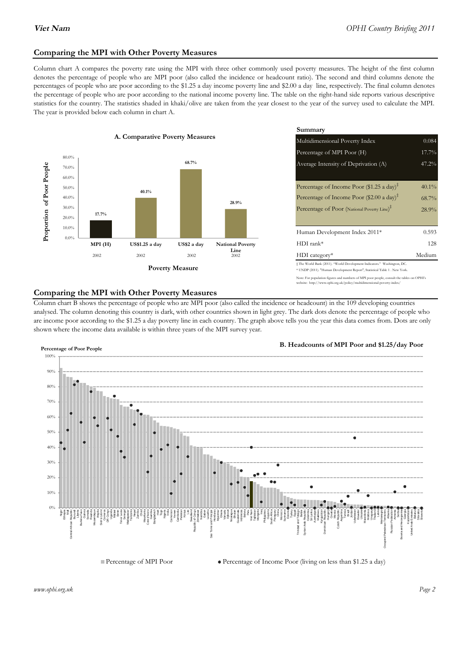### **Comparing the MPI with Other Poverty Measures**

Column chart A compares the poverty rate using the MPI with three other commonly used poverty measures. The height of the first column denotes the percentage of people who are MPI poor (also called the incidence or headcount ratio). The second and third columns denote the percentages of people who are poor according to the \$1.25 a day income poverty line and \$2.00 a day line, respectively. The final column denotes the percentage of people who are poor according to the national income poverty line. The table on the right-hand side reports various descriptive statistics for the country. The statistics shaded in khaki/olive are taken from the year closest to the year of the survey used to calculate the MPI. The year is provided below each column in chart A.



|                 |                         | Summary                                                                                                                                                                                                           |                               |  |  |
|-----------------|-------------------------|-------------------------------------------------------------------------------------------------------------------------------------------------------------------------------------------------------------------|-------------------------------|--|--|
| erty Measures   |                         | Multidimensional Poverty Index<br>0.084                                                                                                                                                                           |                               |  |  |
|                 |                         | Percentage of MPI Poor (H)                                                                                                                                                                                        | 17.7%                         |  |  |
| 68.7%           |                         | Average Intensity of Deprivation (A)                                                                                                                                                                              | 47.2%                         |  |  |
|                 | 28.9%                   | Percentage of Income Poor (\$1.25 a day) <sup><math>\ddagger</math></sup><br>Percentage of Income Poor (\$2.00 a day) <sup><math>\ddagger</math></sup><br>Percentage of Poor (National Poverty Line) <sup>#</sup> | $40.1\%$<br>$68.7\%$<br>28.9% |  |  |
|                 |                         | Human Development Index 2011*                                                                                                                                                                                     | 0.593                         |  |  |
| US\$2 a day     | <b>National Poverty</b> | $HDI$ rank*                                                                                                                                                                                                       | 128                           |  |  |
| 2002            | Line<br>2002            | $HDI category*$                                                                                                                                                                                                   | Medium                        |  |  |
| <b>⁄Ieasure</b> |                         | $\pm$ The World Bank (2011). "World Development Indicators." Washington, DC.<br>* UNDP (2011). "Human Development Report", Statistical Table 1 . New York.                                                        |                               |  |  |

te: For population figures and numbers of MPI poor people, consult the tables on OPHI's te: http://www.ophi.org.uk/policy/multidimensional-poverty-index/

#### **Comparing the MPI with Other Poverty Measures**

Column chart B shows the percentage of people who are MPI poor (also called the incidence or headcount) in the 109 developing countries analysed. The column denoting this country is dark, with other countries shown in light grey. The dark dots denote the percentage of people who are income poor according to the \$1.25 a day poverty line in each country. The graph above tells you the year this data comes from. Dots are only shown where the income data available is within three years of the MPI survey year.



**B. Headcounts of MPI Poor and \$1.25/day Poor**



 $\bullet$  Percentage of Income Poor (living on less than \$1.25 a day)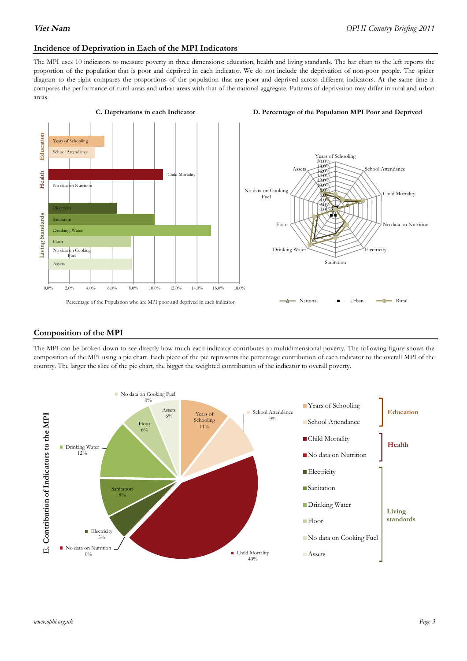#### **Incidence of Deprivation in Each of the MPI Indicators**

The MPI uses 10 indicators to measure poverty in three dimensions: education, health and living standards. The bar chart to the left reports the proportion of the population that is poor and deprived in each indicator. We do not include the deprivation of non-poor people. The spider diagram to the right compares the proportions of the population that are poor and deprived across different indicators. At the same time it compares the performance of rural areas and urban areas with that of the national aggregate. Patterns of deprivation may differ in rural and urban areas.



#### **C. Deprivations in each Indicator D. Percentage of the Population MPI Poor and Deprived**



#### **Composition of the MPI**

The MPI can be broken down to see directly how much each indicator contributes to multidimensional poverty. The following figure shows the composition of the MPI using a pie chart. Each piece of the pie represents the percentage contribution of each indicator to the overall MPI of the country. The larger the slice of the pie chart, the bigger the weighted contribution of the indicator to overall poverty.

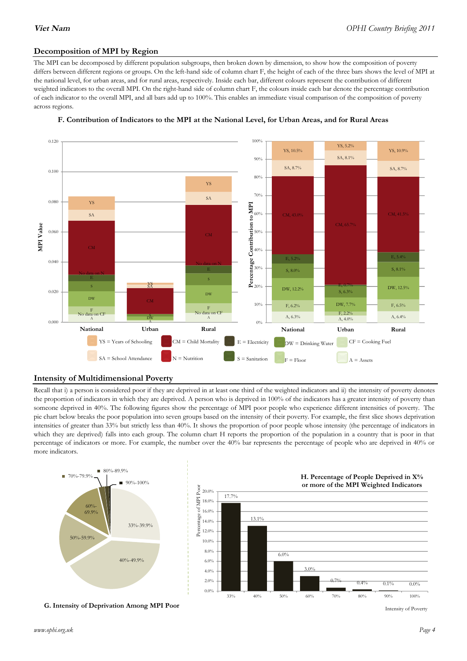# **Decomposition of MPI by Region**

The MPI can be decomposed by different population subgroups, then broken down by dimension, to show how the composition of poverty differs between different regions or groups. On the left-hand side of column chart F, the height of each of the three bars shows the level of MPI at the national level, for urban areas, and for rural areas, respectively. Inside each bar, different colours represent the contribution of different weighted indicators to the overall MPI. On the right-hand side of column chart F, the colours inside each bar denote the percentage contribution of each indicator to the overall MPI, and all bars add up to 100%. This enables an immediate visual comparison of the composition of poverty across regions.





#### **Intensity of Multidimensional Poverty**

Recall that i) a person is considered poor if they are deprived in at least one third of the weighted indicators and ii) the intensity of poverty denotes the proportion of indicators in which they are deprived. A person who is deprived in 100% of the indicators has a greater intensity of poverty than someone deprived in 40%. The following figures show the percentage of MPI poor people who experience different intensities of poverty. The pie chart below breaks the poor population into seven groups based on the intensity of their poverty. For example, the first slice shows deprivation intensities of greater than 33% but strictly less than 40%. It shows the proportion of poor people whose intensity (the percentage of indicators in which they are deprived) falls into each group. The column chart H reports the proportion of the population in a country that is poor in that percentage of indicators or more. For example, the number over the 40% bar represents the percentage of people who are deprived in 40% or more indicators.



**G. Intensity of Deprivation Among MPI Poor**

Intensity of Poverty